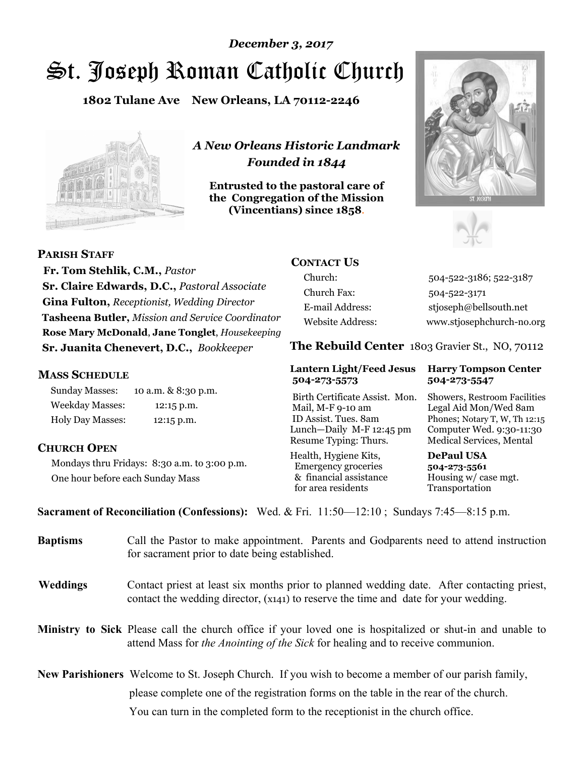# St. Joseph Roman Catholic Church *December 3, 2017*

**1802 Tulane Ave New Orleans, LA 70112-2246**



*A New Orleans Historic Landmark Founded in 1844* 

**Entrusted to the pastoral care of the Congregation of the Mission (Vincentians) since 1858**.





**PARISH STAFF**

 **Fr. Tom Stehlik, C.M.,** *Pastor* **Sr. Claire Edwards, D.C.,** *Pastoral Associate* **Gina Fulton,** *Receptionist, Wedding Director* **Tasheena Butler,** *Mission and Service Coordinator* **Rose Mary McDonald**, **Jane Tonglet**, *Housekeeping* **Sr. Juanita Chenevert, D.C.,** *Bookkeeper* 

#### **MASS SCHEDULE**

Sunday Masses: 10 a.m. & 8:30 p.m. Weekday Masses: 12:15 p.m. Holy Day Masses: 12:15 p.m.

### **CHURCH OPEN**

Mondays thru Fridays: 8:30 a.m. to 3:00 p.m. One hour before each Sunday Mass

### **CONTACT US**

Church: 504-522-3186; 522-3187 Church Fax: 504-522-3171 E-mail Address: stjoseph@bellsouth.net Website Address: www.stjosephchurch-no.org

**The Rebuild Center** 1803 Gravier St., NO, 70112

#### **Lantern Light/Feed Jesus Harry Tompson Center 504-273-5573 504-273-5547**

Birth Certificate Assist. Mon. Showers, Restroom Facilities Mail, M-F 9-10 am Legal Aid Mon/Wed 8am ID Assist. Tues. 8am Phones; Notary T, W, Th 12:15 Lunch—Daily M-F 12:45 pm Computer Wed. 9:30-11:30 Resume Typing: Thurs. Medical Services, Mental

Health, Hygiene Kits, **DePaul USA**  Emergency groceries **504-273-5561** & financial assistance Housing w/ case mgt.<br>for area residents Transportation for area residents

**Sacrament of Reconciliation (Confessions):** Wed. & Fri. 11:50—12:10 ; Sundays 7:45—8:15 p.m.

| <b>Baptisms</b> | Call the Pastor to make appointment. Parents and Godparents need to attend instruction<br>for sacrament prior to date being established.                                                                   |  |  |
|-----------------|------------------------------------------------------------------------------------------------------------------------------------------------------------------------------------------------------------|--|--|
| <b>Weddings</b> | Contact priest at least six months prior to planned wedding date. After contacting priest,<br>contact the wedding director, (x141) to reserve the time and date for your wedding.                          |  |  |
|                 | <b>Ministry to Sick</b> Please call the church office if your loved one is hospitalized or shut-in and unable to<br>attend Mass for <i>the Anointing of the Sick</i> for healing and to receive communion. |  |  |
|                 | <b>New Parishioners</b> Welcome to St. Joseph Church. If you wish to become a member of our parish family,                                                                                                 |  |  |
|                 | please complete one of the registration forms on the table in the rear of the church.                                                                                                                      |  |  |
|                 | You can turn in the completed form to the receptionist in the church office.                                                                                                                               |  |  |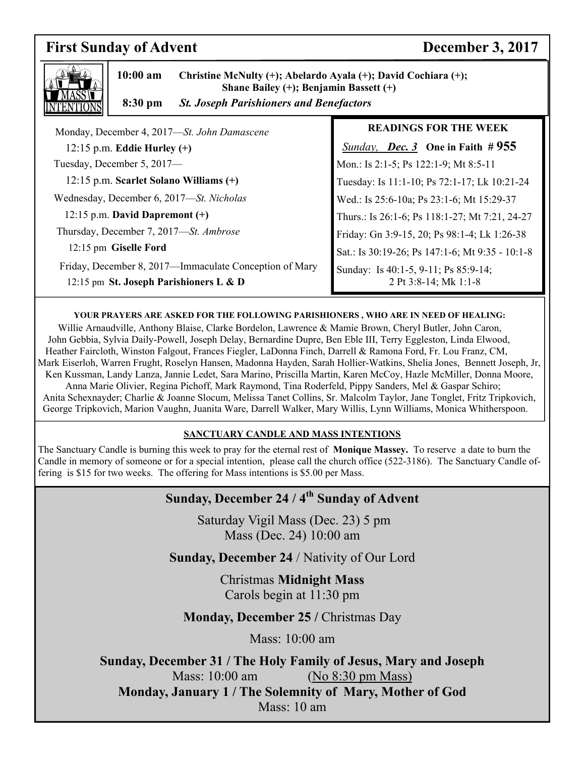## **First Sunday of Advent December 3, 2017**



 **10:00 am Christine McNulty (+); Abelardo Ayala (+); David Cochiara (+); Shane Bailey (+); Benjamin Bassett (+)** 

 **8:30 pm** *St. Joseph Parishioners and Benefactors*

| Monday, December 4, 2017-St. John Damascene                                                      | <b>READINGS FOR THE WEEK</b>                                  |
|--------------------------------------------------------------------------------------------------|---------------------------------------------------------------|
| $12:15$ p.m. Eddie Hurley $(+)$                                                                  | <b>Sunday, Dec. 3</b> One in Faith # 955                      |
| Tuesday, December 5, 2017-                                                                       | Mon.: Is 2:1-5; Ps 122:1-9; Mt 8:5-11                         |
| 12:15 p.m. Scarlet Solano Williams (+)                                                           | Tuesday: Is 11:1-10; Ps 72:1-17; Lk 10:21-24                  |
| Wednesday, December 6, 2017-St. Nicholas                                                         | Wed.: Is 25:6-10a; Ps 23:1-6; Mt 15:29-37                     |
| 12:15 p.m. David Dapremont $(+)$                                                                 | Thurs.: Is 26:1-6; Ps 118:1-27; Mt 7:21, 24-27                |
| Thursday, December 7, 2017—St. Ambrose                                                           | Friday: Gn 3:9-15, 20; Ps 98:1-4; Lk 1:26-38                  |
| 12:15 pm Giselle Ford                                                                            | Sat.: Is 30:19-26; Ps 147:1-6; Mt 9:35 - 10:1-8               |
| Friday, December 8, 2017—Immaculate Conception of Mary<br>12:15 pm St. Joseph Parishioners L & D | Sunday: Is 40:1-5, 9-11; Ps 85:9-14;<br>2 Pt 3:8-14; Mk 1:1-8 |

#### **YOUR PRAYERS ARE ASKED FOR THE FOLLOWING PARISHIONERS , WHO ARE IN NEED OF HEALING:**

Willie Arnaudville, Anthony Blaise, Clarke Bordelon, Lawrence & Mamie Brown, Cheryl Butler, John Caron, John Gebbia, Sylvia Daily-Powell, Joseph Delay, Bernardine Dupre, Ben Eble III, Terry Eggleston, Linda Elwood, Heather Faircloth, Winston Falgout, Frances Fiegler, LaDonna Finch, Darrell & Ramona Ford, Fr. Lou Franz, CM, Mark Eiserloh, Warren Frught, Roselyn Hansen, Madonna Hayden, Sarah Hollier-Watkins, Shelia Jones, Bennett Joseph, Jr, Ken Kussman, Landy Lanza, Jannie Ledet, Sara Marino, Priscilla Martin, Karen McCoy, Hazle McMiller, Donna Moore, Anna Marie Olivier, Regina Pichoff, Mark Raymond, Tina Roderfeld, Pippy Sanders, Mel & Gaspar Schiro; Anita Schexnayder; Charlie & Joanne Slocum, Melissa Tanet Collins, Sr. Malcolm Taylor, Jane Tonglet, Fritz Tripkovich,

George Tripkovich, Marion Vaughn, Juanita Ware, Darrell Walker, Mary Willis, Lynn Williams, Monica Whitherspoon.

#### **SANCTUARY CANDLE AND MASS INTENTIONS**

The Sanctuary Candle is burning this week to pray for the eternal rest of **Monique Massey.** To reserve a date to burn the Candle in memory of someone or for a special intention, please call the church office (522-3186). The Sanctuary Candle offering is \$15 for two weeks. The offering for Mass intentions is \$5.00 per Mass.

## **Sunday, December 24 / 4th Sunday of Advent**

 Saturday Vigil Mass (Dec. 23) 5 pm Mass (Dec. 24) 10:00 am

**Sunday, December 24** / Nativity of Our Lord

Christmas **Midnight Mass** Carols begin at 11:30 pm

**Monday, December 25 / Christmas Day** 

Mass: 10:00 am

**Sunday, December 31 / The Holy Family of Jesus, Mary and Joseph** Mass: 10:00 am (No 8:30 pm Mass) **Monday, January 1 / The Solemnity of Mary, Mother of God**  Mass: 10 am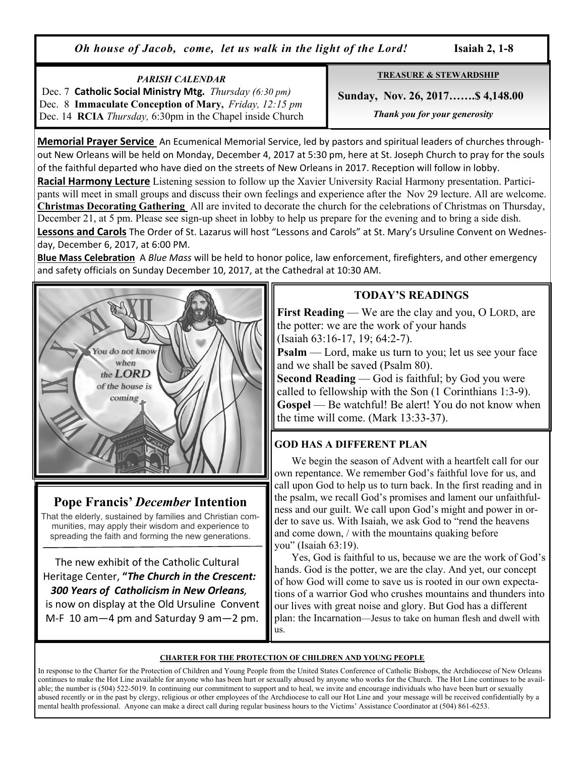*Oh house of Jacob, come, let us walk in the light of the Lord!* **Isaiah 2, 1-8**

## *PARISH CALENDAR*

 Dec. 7 **Catholic Social Ministry Mtg.** *Thursday (6:30 pm)*  Dec. 8 **Immaculate Conception of Mary,** *Friday, 12:15 pm*  Dec. 14 **RCIA** *Thursday,* 6:30pm in the Chapel inside Church **TREASURE & STEWARDSHIP**

 **Sunday, Nov. 26, 2017…….\$ 4,148.00** 

 *Thank you for your generosity* 

**Memorial Prayer Service** An Ecumenical Memorial Service, led by pastors and spiritual leaders of churches throughout New Orleans will be held on Monday, December 4, 2017 at 5:30 pm, here at St. Joseph Church to pray for the souls of the faithful departed who have died on the streets of New Orleans in 2017. Reception will follow in lobby.

**Racial Harmony Lecture** Listening session to follow up the Xavier University Racial Harmony presentation. Participants will meet in small groups and discuss their own feelings and experience after the Nov 29 lecture. All are welcome. **Christmas Decorating Gathering** All are invited to decorate the church for the celebrations of Christmas on Thursday, December 21, at 5 pm. Please see sign-up sheet in lobby to help us prepare for the evening and to bring a side dish. **Lessons and Carols** The Order of St. Lazarus will host "Lessons and Carols" at St. Mary's Ursuline Convent on Wednesday, December 6, 2017, at 6:00 PM.

**Blue Mass Celebration** A *Blue Mass* will be held to honor police, law enforcement, firefighters, and other emergency and safety officials on Sunday December 10, 2017, at the Cathedral at 10:30 AM.



## **Pope Francis'** *December* **Intention**

That the elderly, sustained by families and Christian communities, may apply their wisdom and experience to spreading the faith and forming the new generations.

 The new exhibit of the Catholic Cultural Heritage Center, **"***The Church in the Crescent: 300 Years of Catholicism in New Orleans,*  is now on display at the Old Ursuline Convent M-F 10 am—4 pm and Saturday 9 am—2 pm.

## **TODAY'S READINGS**

**First Reading** — We are the clay and you, O LORD, are the potter: we are the work of your hands

(Isaiah 63:16-17, 19; 64:2-7).

**Psalm** — Lord, make us turn to you; let us see your face and we shall be saved (Psalm 80).

**Second Reading** — God is faithful; by God you were called to fellowship with the Son (1 Corinthians 1:3-9). **Gospel** — Be watchful! Be alert! You do not know when the time will come. (Mark 13:33-37).

## **GOD HAS A DIFFERENT PLAN**

 We begin the season of Advent with a heartfelt call for our own repentance. We remember God's faithful love for us, and call upon God to help us to turn back. In the first reading and in the psalm, we recall God's promises and lament our unfaithfulness and our guilt. We call upon God's might and power in order to save us. With Isaiah, we ask God to "rend the heavens and come down, / with the mountains quaking before you" (Isaiah 63:19).

 Yes, God is faithful to us, because we are the work of God's hands. God is the potter, we are the clay. And yet, our concept of how God will come to save us is rooted in our own expectations of a warrior God who crushes mountains and thunders into our lives with great noise and glory. But God has a different plan: the Incarnation—Jesus to take on human flesh and dwell with us.

#### **CHARTER FOR THE PROTECTION OF CHILDREN AND YOUNG PEOPLE**

In response to the Charter for the Protection of Children and Young People from the United States Conference of Catholic Bishops, the Archdiocese of New Orleans continues to make the Hot Line available for anyone who has been hurt or sexually abused by anyone who works for the Church. The Hot Line continues to be available; the number is (504) 522-5019. In continuing our commitment to support and to heal, we invite and encourage individuals who have been hurt or sexually abused recently or in the past by clergy, religious or other employees of the Archdiocese to call our Hot Line and your message will be received confidentially by a mental health professional. Anyone can make a direct call during regular business hours to the Victims' Assistance Coordinator at (504) 861-6253.